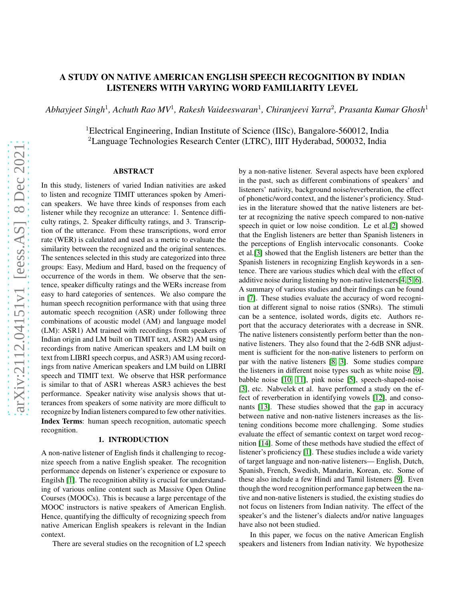# A STUDY ON NATIVE AMERICAN ENGLISH SPEECH RECOGNITION BY INDIAN LISTENERS WITH VARYING WORD FAMILIARITY LEVEL

*Abhayjeet Singh*<sup>1</sup> *, Achuth Rao MV*<sup>1</sup> *, Rakesh Vaideeswaran*<sup>1</sup> *, Chiranjeevi Yarra*<sup>2</sup> *, Prasanta Kumar Ghosh*<sup>1</sup>

<sup>1</sup>Electrical Engineering, Indian Institute of Science (IISc), Bangalore-560012, India <sup>2</sup>Language Technologies Research Center (LTRC), IIIT Hyderabad, 500032, India

## ABSTRACT

In this study, listeners of varied Indian nativities are asked to listen and recognize TIMIT utterances spoken by American speakers. We have three kinds of responses from each listener while they recognize an utterance: 1. Sentence difficulty ratings, 2. Speaker difficulty ratings, and 3. Transcription of the utterance. From these transcriptions, word error rate (WER) is calculated and used as a metric to evaluate the similarity between the recognized and the original sentences. The sentences selected in this study are categorized into three groups: Easy, Medium and Hard, based on the frequency of occurrence of the words in them. We observe that the sentence, speaker difficulty ratings and the WERs increase from easy to hard categories of sentences. We also compare the human speech recognition performance with that using three automatic speech recognition (ASR) under following three combinations of acoustic model (AM) and language model (LM): ASR1) AM trained with recordings from speakers of Indian origin and LM built on TIMIT text, ASR2) AM using recordings from native American speakers and LM built on text from LIBRI speech corpus, and ASR3) AM using recordings from native American speakers and LM build on LIBRI speech and TIMIT text. We observe that HSR performance is similar to that of ASR1 whereas ASR3 achieves the best performance. Speaker nativity wise analysis shows that utterances from speakers of some nativity are more difficult to recognize by Indian listeners compared to few other nativities. Index Terms: human speech recognition, automatic speech recognition.

## 1. INTRODUCTION

A non-native listener of English finds it challenging to recognize speech from a native English speaker. The recognition performance depends on listener's experience or exposure to Engilsh [\[1\]](#page-4-0). The recognition ability is crucial for understanding of various online content such as Massive Open Online Courses (MOOCs). This is because a large percentage of the MOOC instructors is native speakers of American English. Hence, quantifying the difficulty of recognizing speech from native American English speakers is relevant in the Indian context.

There are several studies on the recognition of L2 speech

by a non-native listener. Several aspects have been explored in the past, such as different combinations of speakers' and listeners' nativity, background noise/reverberation, the effect of phonetic/word context, and the listener's proficiency. Studies in the literature showed that the native listeners are better at recognizing the native speech compared to non-native speech in quiet or low noise condition. Le et al.[\[2\]](#page-5-0) showed that the English listeners are better than Spanish listeners in the perceptions of English intervocalic consonants. Cooke et al.[\[3\]](#page-5-1) showed that the English listeners are better than the Spanish listeners in recognizing English keywords in a sentence. There are various studies which deal with the effect of additive noise during listening by non-native listeners[\[4,](#page-5-2) [5,](#page-5-3) [6\]](#page-5-4). A summary of various studies and their findings can be found in [\[7\]](#page-5-5). These studies evaluate the accuracy of word recognition at different signal to noise ratios (SNRs). The stimuli can be a sentence, isolated words, digits etc. Authors report that the accuracy deteriorates with a decrease in SNR. The native listeners consistently perform better than the nonnative listeners. They also found that the 2-6dB SNR adjustment is sufficient for the non-native listeners to perform on par with the native listeners [\[8,](#page-5-6) [3\]](#page-5-1). Some studies compare the listeners in different noise types such as white noise [\[9\]](#page-5-7), babble noise [\[10,](#page-5-8) [11\]](#page-5-9), pink noise [\[5\]](#page-5-3), speech-shaped-noise [\[3\]](#page-5-1), etc. Nabvelek et al. have performed a study on the effect of reverberation in identifying vowels [\[12\]](#page-5-10), and consonants [\[13\]](#page-5-11). These studies showed that the gap in accuracy between native and non-native listeners increases as the listening conditions become more challenging. Some studies evaluate the effect of semantic context on target word recognition [\[14\]](#page-5-12). Some of these methods have studied the effect of listener's proficiency [\[1\]](#page-4-0). These studies include a wide variety of target language and non-native listeners— English, Dutch, Spanish, French, Swedish, Mandarin, Korean, etc. Some of these also include a few Hindi and Tamil listeners [\[9\]](#page-5-7). Even though the word recognition performance gap between the native and non-native listeners is studied, the existing studies do not focus on listeners from Indian nativity. The effect of the speaker's and the listener's dialects and/or native languages have also not been studied.

In this paper, we focus on the native American English speakers and listeners from Indian nativity. We hypothesize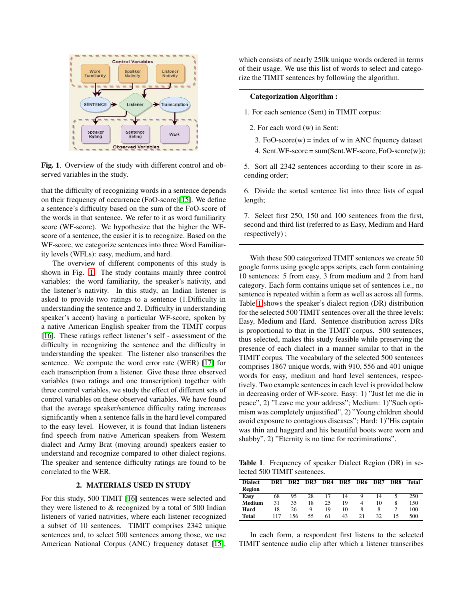

<span id="page-1-0"></span>Fig. 1. Overview of the study with different control and observed variables in the study.

that the difficulty of recognizing words in a sentence depends on their frequency of occurrence (FoO-score)[\[15\]](#page-5-13). We define a sentence's difficulty based on the sum of the FoO-score of the words in that sentence. We refer to it as word familiarity score (WF-score). We hypothesize that the higher the WFscore of a sentence, the easier it is to recognize. Based on the WF-score, we categorize sentences into three Word Familiarity levels (WFLs): easy, medium, and hard.

The overview of different components of this study is shown in Fig. [1.](#page-1-0) The study contains mainly three control variables: the word familiarity, the speaker's nativity, and the listener's nativity. In this study, an Indian listener is asked to provide two ratings to a sentence (1.Difficulty in understanding the sentence and 2. Difficulty in understanding speaker's accent) having a particular WF-score, spoken by a native American English speaker from the TIMIT corpus [\[16\]](#page-5-14). These ratings reflect listener's self - assessment of the difficulty in recognizing the sentence and the difficulty in understanding the speaker. The listener also transcribes the sentence. We compute the word error rate (WER) [\[17\]](#page-5-15) for each transcription from a listener. Give these three observed variables (two ratings and one transcription) together with three control variables, we study the effect of different sets of control variables on these observed variables. We have found that the average speaker/sentence difficulty rating increases significantly when a sentence falls in the hard level compared to the easy level. However, it is found that Indian listeners find speech from native American speakers from Western dialect and Army Brat (moving around) speakers easier to understand and recognize compared to other dialect regions. The speaker and sentence difficulty ratings are found to be correlated to the WER.

## 2. MATERIALS USED IN STUDY

For this study, 500 TIMIT [\[16\]](#page-5-14) sentences were selected and they were listened to & recognized by a total of 500 Indian listeners of varied nativities, where each listener recognized a subset of 10 sentences. TIMIT comprises 2342 unique sentences and, to select 500 sentences among those, we use American National Corpus (ANC) frequency dataset [\[15\]](#page-5-13), which consists of nearly 250k unique words ordered in terms of their usage. We use this list of words to select and categorize the TIMIT sentences by following the algorithm.

## Categorization Algorithm :

1. For each sentence (Sent) in TIMIT corpus:

- 2. For each word (w) in Sent:
	- 3. FoO-score $(w)$  = index of w in ANC frquency dataset
	- 4. Sent.WF-score = sum(Sent.WF-score, FoO-score(w));

5. Sort all 2342 sentences according to their score in ascending order;

6. Divide the sorted sentence list into three lists of equal length;

7. Select first 250, 150 and 100 sentences from the first, second and third list (referred to as Easy, Medium and Hard respectively) ;

With these 500 categorized TIMIT sentences we create 50 google forms using google apps scripts, each form containing 10 sentences: 5 from easy, 3 from medium and 2 from hard category. Each form contains unique set of sentences i.e., no sentence is repeated within a form as well as across all forms. Table [1](#page-1-1) shows the speaker's dialect region (DR) distribution for the selected 500 TIMIT sentences over all the three levels: Easy, Medium and Hard. Sentence distribution across DRs is proportional to that in the TIMIT corpus. 500 sentences, thus selected, makes this study feasible while preserving the presence of each dialect in a manner similar to that in the TIMIT corpus. The vocabulary of the selected 500 sentences comprises 1867 unique words, with 910, 556 and 401 unique words for easy, medium and hard level sentences, respectively. Two example sentences in each level is provided below in decreasing order of WF-score. Easy: 1) "Just let me die in peace", 2) "Leave me your address"; Medium: 1)"Such optimism was completely unjustified", 2) "Young children should avoid exposure to contagious diseases"; Hard: 1)"His captain was thin and haggard and his beautiful boots were worn and shabby", 2) "Eternity is no time for recriminations".

Table 1. Frequency of speaker Dialect Region (DR) in selected 500 TIMIT sentences.

<span id="page-1-1"></span>

| <b>Dialect</b> | DR1 | DR <sub>2</sub> |    | DR3 DR4 |    | DR5 DR6 DR7 |    | DR8 | Total |
|----------------|-----|-----------------|----|---------|----|-------------|----|-----|-------|
| Region         |     |                 |    |         |    |             |    |     |       |
| Easy           | 68  | 95              | 28 | 17      | 14 | 9           | 14 |     | 250   |
| Medium         | 31  | 35              | 18 | 25      | 19 | 4           | 10 |     | 150   |
| Hard           | 18  | 26              | Q  | 19      | 10 | 8           | 8  |     | 100   |
| <b>Total</b>   | 117 | 156             | 55 | 61      | 43 | 21          | 32 | 15  | 500   |

In each form, a respondent first listens to the selected TIMIT sentence audio clip after which a listener transcribes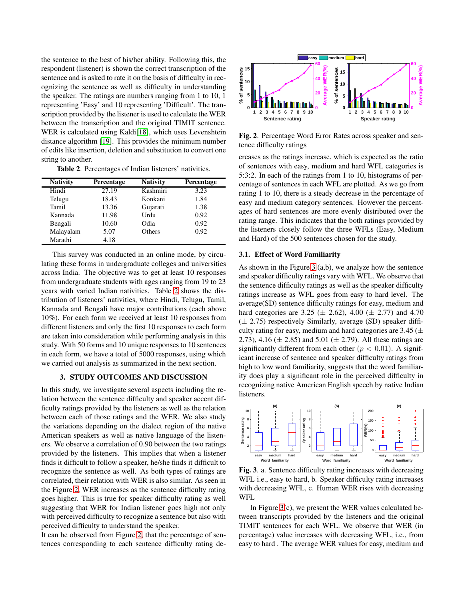the sentence to the best of his/her ability. Following this, the respondent (listener) is shown the correct transcription of the sentence and is asked to rate it on the basis of difficulty in recognizing the sentence as well as difficulty in understanding the speaker. The ratings are numbers ranging from 1 to 10, 1 representing 'Easy' and 10 representing 'Difficult'. The transcription provided by the listener is used to calculate the WER between the transcription and the original TIMIT sentence. WER is calculated using Kaldi[\[18\]](#page-5-16), which uses Levenshtein distance algorithm [\[19\]](#page-5-17). This provides the minimum number of edits like insertion, deletion and substitution to convert one string to another.

<span id="page-2-0"></span>Table 2. Percentages of Indian listeners' nativities.

| <b>Nativity</b> | Percentage | <b>Nativity</b> | Percentage |
|-----------------|------------|-----------------|------------|
| Hindi           | 27.19      | Kashmiri        | 3.23       |
| Telugu          | 18.43      | Konkani         | 1.84       |
| Tamil           | 13.36      | Gujarati        | 1.38       |
| Kannada         | 11.98      | Urdu            | 0.92       |
| Bengali         | 10.60      | Odia            | 0.92       |
| Malayalam       | 5.07       | Others          | 0.92       |
| Marathi         | 4.18       |                 |            |

This survey was conducted in an online mode, by circulating these forms in undergraduate colleges and universities across India. The objective was to get at least 10 responses from undergraduate students with ages ranging from 19 to 23 years with varied Indian nativities. Table [2](#page-2-0) shows the distribution of listeners' nativities, where Hindi, Telugu, Tamil, Kannada and Bengali have major contributions (each above 10%). For each form we received at least 10 responses from different listeners and only the first 10 responses to each form are taken into consideration while performing analysis in this study. With 50 forms and 10 unique responses to 10 sentences in each form, we have a total of 5000 responses, using which we carried out analysis as summarized in the next section.

## 3. STUDY OUTCOMES AND DISCUSSION

In this study, we investigate several aspects including the relation between the sentence difficulty and speaker accent difficulty ratings provided by the listeners as well as the relation between each of those ratings and the WER. We also study the variations depending on the dialect region of the native American speakers as well as native language of the listeners. We observe a correlation of 0.90 between the two ratings provided by the listeners. This implies that when a listener finds it difficult to follow a speaker, he/she finds it difficult to recognize the sentence as well. As both types of ratings are correlated, their relation with WER is also similar. As seen in the Figure [2,](#page-2-1) WER increases as the sentence difficulty rating goes higher. This is true for speaker difficulty rating as well suggesting that WER for Indian listener goes high not only with perceived difficulty to recognize a sentence but also with perceived difficulty to understand the speaker.

It can be observed from Figure [2,](#page-2-1) that the percentage of sentences corresponding to each sentence difficulty rating de-



<span id="page-2-1"></span>Fig. 2. Percentage Word Error Rates across speaker and sentence difficulty ratings

creases as the ratings increase, which is expected as the ratio of sentences with easy, medium and hard WFL categories is 5:3:2. In each of the ratings from 1 to 10, histograms of percentage of sentences in each WFL are plotted. As we go from rating 1 to 10, there is a steady decrease in the percentage of easy and medium category sentences. However the percentages of hard sentences are more evenly distributed over the rating range. This indicates that the both ratings provided by the listeners closely follow the three WFLs (Easy, Medium and Hard) of the 500 sentences chosen for the study.

## 3.1. Effect of Word Familiarity

As shown in the Figure [3](#page-2-2) (a,b), we analyze how the sentence and speaker difficulty ratings vary with WFL. We observe that the sentence difficulty ratings as well as the speaker difficulty ratings increase as WFL goes from easy to hard level. The average(SD) sentence difficulty ratings for easy, medium and hard categories are 3.25 ( $\pm$  2.62), 4.00 ( $\pm$  2.77) and 4.70  $(\pm 2.75)$  respectively Similarly, average (SD) speaker difficulty rating for easy, medium and hard categories are  $3.45 (\pm$ 2.73), 4.16 ( $\pm$  2.85) and 5.01 ( $\pm$  2.79). All these ratings are significantly different from each other ( $p < 0.01$ ). A significant increase of sentence and speaker difficulty ratings from high to low word familiarity, suggests that the word familiarity does play a significant role in the perceived difficulty in recognizing native American English speech by native Indian listeners.



<span id="page-2-2"></span>Fig. 3. a. Sentence difficulty rating increases with decreasing WFL i.e., easy to hard, b. Speaker difficulty rating increases with decreasing WFL, c. Human WER rises with decreasing WFL

In Figure  $3(c)$ , we present the WER values calculated between transcripts provided by the listeners and the original TIMIT sentences for each WFL. We observe that WER (in percentage) value increases with decreasing WFL, i.e., from easy to hard . The average WER values for easy, medium and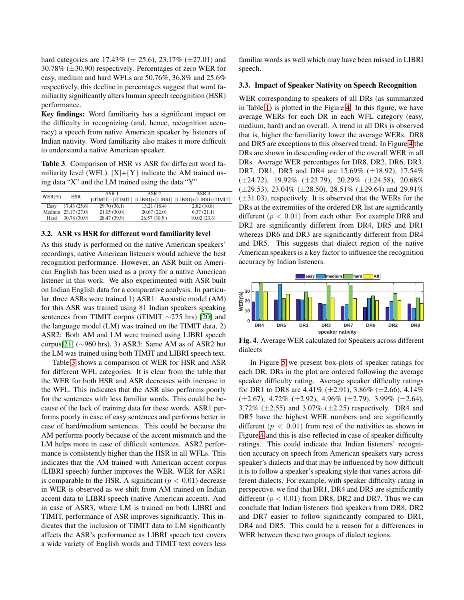hard categories are  $17.43\%$  ( $\pm 25.6$ ),  $23.17\%$  ( $\pm 27.01$ ) and 30.78% (±30.90) respectively. Percentages of zero WER for easy, medium and hard WFLs are 50.76%, 36.8% and 25.6% respectively, this decline in percentages suggest that word familiarity significantly alters human speech recognition (HSR) performance.

Key findings: Word familiarity has a significant impact on the difficulty in recognizing (and, hence, recognition accuracy) a speech from native American speaker by listeners of Indian nativity. Word familiarity also makes it more difficult to understand a native American speaker.

<span id="page-3-0"></span>Table 3. Comparison of HSR vs ASR for different word familiarity level (WFL).  $[X] + \{Y\}$  indicate the AM trained using data "X" and the LM trained using the data "Y".

| $WER(\%)$ | HSR  | ASR 1               | ASR <sub>2</sub> | ASR 3                                                              |             |
|-----------|------|---------------------|------------------|--------------------------------------------------------------------|-------------|
|           |      |                     |                  | $[iTIMIT] + {iTIMIT} [LIBRI] + {LIBRI} [LIBRI] + {LIBRI + iTIMIT}$ |             |
|           | Easy | 17.43(25.6)         | 29.70 (36.1)     | 13.21 (18.4)                                                       | 2.82(10.8)  |
|           |      | Medium 23.17 (27.0) | 21.05(30.0)      | 20.67(22.0)                                                        | 6.37(21.1)  |
|           | Hard | 30.78 (30.9)        | 28.47 (39.9)     | 26.57(30.5)                                                        | 10.02(23.3) |

### 3.2. ASR vs HSR for different word familiarity level

As this study is performed on the native American speakers' recordings, native American listeners would achieve the best recognition performance. However, an ASR built on American English has been used as a proxy for a native American listener in this work. We also experimented with ASR built on Indian English data for a comparative analysis. In particular, three ASRs were trained 1) ASR1: Acoustic model (AM) for this ASR was trained using 81 Indian speakers speaking sentences from TIMIT corpus (iTIMIT ∼275 hrs) [\[20\]](#page-5-18) and the language model (LM) was trained on the TIMIT data, 2) ASR2: Both AM and LM were trained using LIBRI speech corpus[\[21\]](#page-5-19) ( $\sim$ 960 hrs), 3) ASR3: Same AM as of ASR2 but the LM was trained using both TIMIT and LIBRI speech text.

Table [3](#page-3-0) shows a comparison of WER for HSR and ASR for different WFL categories. It is clear from the table that the WER for both HSR and ASR decreases with increase in the WFL. This indicates that the ASR also performs poorly for the sentences with less familiar words. This could be because of the lack of training data for these words. ASR1 performs poorly in case of easy sentences and performs better in case of hard/medium sentences. This could be because the AM performs poorly because of the accent mismatch and the LM helps more in case of difficult sentences. ASR2 performance is consistently higher than the HSR in all WFLs. This indicates that the AM trained with American accent corpus (LIBRI speech) further improves the WER. WER for ASR1 is comparable to the HSR. A significant ( $p < 0.01$ ) decrease in WER is observed as we shift from AM trained on Indian accent data to LIBRI speech (native American accent). And in case of ASR3, where LM is trained on both LIBRI and TIMIT, performance of ASR improves significantly. This indicates that the inclusion of TIMIT data to LM significantly affects the ASR's performance as LIBRI speech text covers a wide variety of English words and TIMIT text covers less

familiar words as well which may have been missed in LIBRI speech.

#### 3.3. Impact of Speaker Nativity on Speech Recognition

WER corresponding to speakers of all DRs (as summarized in Table [1\)](#page-1-1) is plotted in the Figure [4.](#page-3-1) In this figure, we have average WERs for each DR in each WFL category (easy, medium, hard) and an overall. A trend in all DRs is observed that is, higher the familiarity lower the average WERs. DR8 and DR5 are exceptions to this observed trend. In Figure [4](#page-3-1) the DRs are shown in descending order of the overall WER in all DRs. Average WER percentages for DR8, DR2, DR6, DR3, DR7, DR1, DR5 and DR4 are 15.69% (±18.92), 17.54%  $(\pm 24.72)$ , 19.92%  $(\pm 23.79)$ , 20.29%  $(\pm 24.58)$ , 20.68%  $(\pm 29.53)$ , 23.04%  $(\pm 28.50)$ , 28.51%  $(\pm 29.64)$  and 29.91%  $(\pm 31.03)$ , respectively. It is observed that the WERs for the DRs at the extremities of the ordered DR list are significantly different ( $p < 0.01$ ) from each other. For example DR8 and DR2 are significantly different from DR4, DR5 and DR1 whereas DR6 and DR3 are significantly different from DR4 and DR5. This suggests that dialect region of the native American speakers is a key factor to influence the recognition accuracy by Indian listeners.



<span id="page-3-1"></span>Fig. 4. Average WER calculated for Speakers across different dialects

In Figure [5](#page-4-1) we present box-plots of speaker ratings for each DR. DRs in the plot are ordered following the average speaker difficulty rating. Average speaker difficulty ratings for DR1 to DR8 are  $4.41\%$  ( $\pm 2.91$ ),  $3.86\%$  ( $\pm 2.66$ ),  $4.14\%$  $(\pm 2.67)$ , 4.72%  $(\pm 2.92)$ , 4.96%  $(\pm 2.79)$ , 3.99%  $(\pm 2.64)$ , 3.72%  $(\pm 2.55)$  and 3.07%  $(\pm 2.25)$  respectively. DR4 and DR5 have the highest WER numbers and are significantly different  $(p < 0.01)$  from rest of the nativities as shown in Figure [4](#page-3-1) and this is also reflected in case of speaker difficulty ratings. This could indicate that Indian listeners' recognition accuracy on speech from American speakers vary across speaker's dialects and that may be influenced by how difficult it is to follow a speaker's speaking style that varies across different dialects. For example, with speaker difficulty rating in perspective, we find that DR1, DR4 and DR5 are significantly different ( $p < 0.01$ ) from DR8, DR2 and DR7. Thus we can conclude that Indian listeners find speakers from DR8, DR2 and DR7 easier to follow significantly compared to DR1, DR4 and DR5. This could be a reason for a differences in WER between these two groups of dialect regions.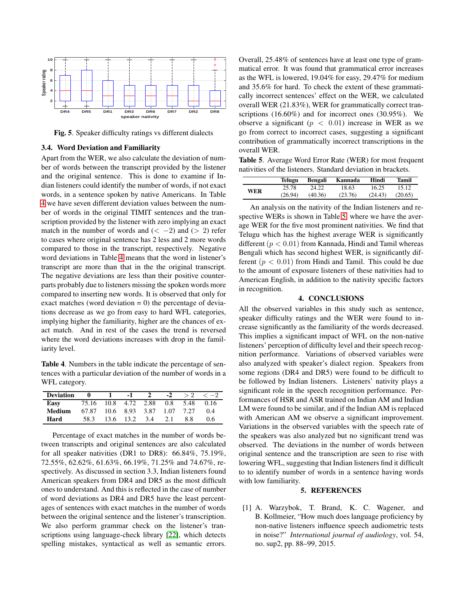

<span id="page-4-1"></span>Fig. 5. Speaker difficulty ratings vs different dialects

### 3.4. Word Deviation and Familiarity

Apart from the WER, we also calculate the deviation of number of words between the transcript provided by the listener and the original sentence. This is done to examine if Indian listeners could identify the number of words, if not exact words, in a sentence spoken by native Americans. In Table [4](#page-4-2) we have seven different deviation values between the number of words in the original TIMIT sentences and the transcription provided by the listener with zero implying an exact match in the number of words and  $(< -2)$  and  $(> 2)$  refer to cases where original sentence has 2 less and 2 more words compared to those in the transcript, respectively. Negative word deviations in Table [4](#page-4-2) means that the word in listener's transcript are more than that in the the original transcript. The negative deviations are less than their positive counterparts probably due to listeners missing the spoken words more compared to inserting new words. It is observed that only for exact matches (word deviation  $= 0$ ) the percentage of deviations decrease as we go from easy to hard WFL categories, implying higher the familiarity, higher are the chances of exact match. And in rest of the cases the trend is reversed where the word deviations increases with drop in the familiarity level.

<span id="page-4-2"></span>Table 4. Numbers in the table indicate the percentage of sentences with a particular deviation of the number of words in a WFL category.

| <b>Deviation</b> | 0                         | $-1$      | $\mathcal{L}$ | $-2$ | > 2  | $<-2$ |
|------------------|---------------------------|-----------|---------------|------|------|-------|
| Easy             | 75.16 10.8 4.72 2.88 0.8  |           |               |      | 5.48 | 0.16  |
| Medium           | 67.87 10.6 8.93 3.87 1.07 |           |               |      | 7.27 | 0.4   |
| Hard             | 58.3                      | 13.6 13.2 | 3.4           | 2.1  | 8.8  | 06    |

Percentage of exact matches in the number of words between transcripts and original sentences are also calculated for all speaker nativities (DR1 to DR8): 66.84%, 75.19%, 72.55%, 62.62%, 61.63%, 66.19%, 71.25% and 74.67%, respectively. As discussed in section 3.3, Indian listeners found American speakers from DR4 and DR5 as the most difficult ones to understand. And this is reflected in the case of number of word deviations as DR4 and DR5 have the least percentages of sentences with exact matches in the number of words between the original sentence and the listener's transcription. We also perform grammar check on the listener's transcriptions using language-check library [\[22\]](#page-5-20), which detects spelling mistakes, syntactical as well as semantic errors.

Overall, 25.48% of sentences have at least one type of grammatical error. It was found that grammatical error increases as the WFL is lowered, 19.04% for easy, 29.47% for medium and 35.6% for hard. To check the extent of these grammatically incorrect sentences' effect on the WER, we calculated overall WER (21.83%), WER for grammatically correct transcriptions (16.60%) and for incorrect ones (30.95%). We observe a significant ( $p < 0.01$ ) increase in WER as we go from correct to incorrect cases, suggesting a significant contribution of grammatically incorrect transcriptions in the overall WER.

Table 5. Average Word Error Rate (WER) for most frequent nativities of the listeners. Standard deviation in brackets.

<span id="page-4-3"></span>

|            | Telugu  | Bengali | Kannada | Hindi   | <b>Tamil</b> |
|------------|---------|---------|---------|---------|--------------|
| <b>WER</b> | 25.78   | 24.22   | 18.63   | 16.25   | 15.12        |
|            | (26.94) | (40.36) | (23.76) | (24.43) | (20.65)      |

An analysis on the nativity of the Indian listeners and respective WERs is shown in Table [5,](#page-4-3) where we have the average WER for the five most prominent nativities. We find that Telugu which has the highest average WER is significantly different ( $p < 0.01$ ) from Kannada, Hindi and Tamil whereas Bengali which has second highest WER, is significantly different  $(p < 0.01)$  from Hindi and Tamil. This could be due to the amount of exposure listeners of these nativities had to American English, in addition to the nativity specific factors in recognition.

## 4. CONCLUSIONS

All the observed variables in this study such as sentence, speaker difficulty ratings and the WER were found to increase significantly as the familiarity of the words decreased. This implies a significant impact of WFL on the non-native listeners' perception of difficulty level and their speech recognition performance. Variations of observed variables were also analyzed with speaker's dialect region. Speakers from some regions (DR4 and DR5) were found to be difficult to be followed by Indian listeners. Listeners' nativity plays a significant role in the speech recognition performance. Performances of HSR and ASR trained on Indian AM and Indian LM were found to be similar, and if the Indian AM is replaced with American AM we observe a significant improvement. Variations in the observed variables with the speech rate of the speakers was also analyzed but no significant trend was observed. The deviations in the number of words between original sentence and the transcription are seen to rise with lowering WFL, suggesting that Indian listeners find it difficult to to identify number of words in a sentence having words with low familiarity.

### 5. REFERENCES

<span id="page-4-0"></span>[1] A. Warzybok, T. Brand, K. C. Wagener, and B. Kollmeier, "How much does language proficiency by non-native listeners influence speech audiometric tests in noise?" *International journal of audiology*, vol. 54, no. sup2, pp. 88–99, 2015.